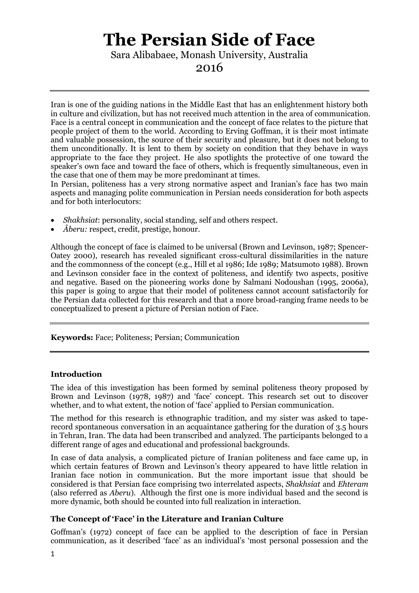# **The Persian Side of Face**

Sara Alibabaee, Monash University, Australia

2016

Iran is one of the guiding nations in the Middle East that has an enlightenment history both in culture and civilization, but has not received much attention in the area of communication. Face is a central concept in communication and the concept of face relates to the picture that people project of them to the world. According to Erving Goffman, it is their most intimate and valuable possession, the source of their security and pleasure, but it does not belong to them unconditionally. It is lent to them by society on condition that they behave in ways appropriate to the face they project. He also spotlights the protective of one toward the speaker's own face and toward the face of others, which is frequently simultaneous, even in the case that one of them may be more predominant at times.

In Persian, politeness has a very strong normative aspect and Iranian's face has two main aspects and managing polite communication in Persian needs consideration for both aspects and for both interlocutors:

- *Shakhsiat*: personality, social standing, self and others respect.
- *Âberu:* respect, credit, prestige, honour.

Although the concept of face is claimed to be universal (Brown and Levinson, 1987; Spencer-Oatey 2000), research has revealed significant cross-cultural dissimilarities in the nature and the commonness of the concept (e.g., Hill et al 1986; Ide 1989; Matsumoto 1988). Brown and Levinson consider face in the context of politeness, and identify two aspects, positive and negative. Based on the pioneering works done by Salmani Nodoushan (1995, 2006a), this paper is going to argue that their model of politeness cannot account satisfactorily for the Persian data collected for this research and that a more broad-ranging frame needs to be conceptualized to present a picture of Persian notion of Face.

**Keywords:** Face; Politeness; Persian; Communication

# **Introduction**

The idea of this investigation has been formed by seminal politeness theory proposed by Brown and Levinson (1978, 1987) and 'face' concept. This research set out to discover whether, and to what extent, the notion of 'face' applied to Persian communication.

The method for this research is ethnographic tradition, and my sister was asked to taperecord spontaneous conversation in an acquaintance gathering for the duration of 3.5 hours in Tehran, Iran. The data had been transcribed and analyzed. The participants belonged to a different range of ages and educational and professional backgrounds.

In case of data analysis, a complicated picture of Iranian politeness and face came up, in which certain features of Brown and Levinson's theory appeared to have little relation in Iranian face notion in communication. But the more important issue that should be considered is that Persian face comprising two interrelated aspects, *Shakhsiat* and *Ehteram*  (also referred as *Aberu*). Although the first one is more individual based and the second is more dynamic, both should be counted into full realization in interaction.

# **The Concept of 'Face' in the Literature and Iranian Culture**

Goffman's (1972) concept of face can be applied to the description of face in Persian communication, as it described 'face' as an individual's 'most personal possession and the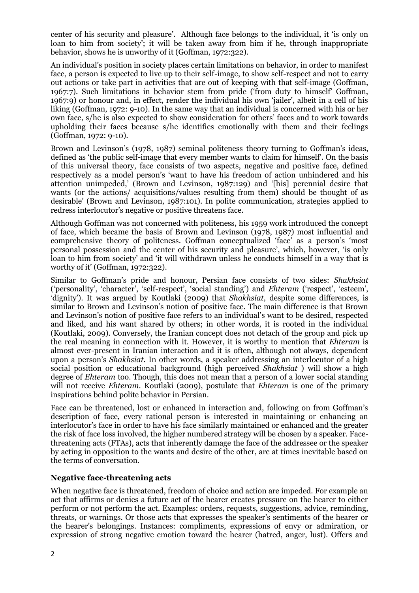center of his security and pleasure'. Although face belongs to the individual, it 'is only on loan to him from society; it will be taken away from him if he, through inappropriate behavior, shows he is unworthy of it (Goffman, 1972:322).

An individual's position in society places certain limitations on behavior, in order to manifest face, a person is expected to live up to their self-image, to show self-respect and not to carry out actions or take part in activities that are out of keeping with that self-image (Goffman, 1967:7). Such limitations in behavior stem from pride ('from duty to himself' Goffman, 1967:9) or honour and, in effect, render the individual his own 'jailer', albeit in a cell of his liking (Goffman, 1972: 9-10). In the same way that an individual is concerned with his or her own face, s/he is also expected to show consideration for others' faces and to work towards upholding their faces because s/he identifies emotionally with them and their feelings (Goffman, 1972: 9-10).

Brown and Levinson's (1978, 1987) seminal politeness theory turning to Goffman's ideas, defined as 'the public self-image that every member wants to claim for himself'. On the basis of this universal theory, face consists of two aspects, negative and positive face, defined respectively as a model person's 'want to have his freedom of action unhindered and his attention unimpeded,' (Brown and Levinson, 1987:129) and '[his] perennial desire that wants (or the actions/ acquisitions/values resulting from them) should be thought of as desirable' (Brown and Levinson, 1987:101). In polite communication, strategies applied to redress interlocutor's negative or positive threatens face.

Although Goffman was not concerned with politeness, his 1959 work introduced the concept of face, which became the basis of Brown and Levinson (1978, 1987) most influential and comprehensive theory of politeness. Goffman conceptualized 'face' as a person's 'most personal possession and the center of his security and pleasure', which, however, 'is only loan to him from society' and 'it will withdrawn unless he conducts himself in a way that is worthy of it' (Goffman, 1972:322).

Similar to Goffman's pride and honour, Persian face consists of two sides: *Shakhsiat* ('personality', 'character', 'self-respect', 'social standing') and *Ehteram* ('respect', 'esteem', 'dignity'). It was argued by Koutlaki (2009) that *Shakhsiat,* despite some differences, is similar to Brown and Levinson's notion of positive face. The main difference is that Brown and Levinson's notion of positive face refers to an individual's want to be desired, respected and liked, and his want shared by others; in other words, it is rooted in the individual (Koutlaki, 2009). Conversely, the Iranian concept does not detach of the group and pick up the real meaning in connection with it. However, it is worthy to mention that *Ehteram* is almost ever-present in Iranian interaction and it is often, although not always, dependent upon a person's *Shakhsiat.* In other words, a speaker addressing an interlocutor of a high social position or educational background (high perceived *Shakhsiat* ) will show a high degree of *Ehteram* too. Though, this does not mean that a person of a lower social standing will not receive *Ehteram.* Koutlaki (2009), postulate that *Ehteram* is one of the primary inspirations behind polite behavior in Persian.

Face can be threatened, lost or enhanced in interaction and, following on from Goffman's description of face, every rational person is interested in maintaining or enhancing an interlocutor's face in order to have his face similarly maintained or enhanced and the greater the risk of face loss involved, the higher numbered strategy will be chosen by a speaker. Facethreatening acts (FTAs), acts that inherently damage the face of the addressee or the speaker by acting in opposition to the wants and desire of the other, are at times inevitable based on the terms of conversation.

#### **Negative face-threatening acts**

When negative face is threatened, freedom of choice and action are impeded. For example an act that affirms or denies a future act of the hearer creates pressure on the hearer to either perform or not perform the act. Examples: orders, requests, suggestions, advice, reminding, threats, or warnings. Or those acts that expresses the speaker's sentiments of the hearer or the hearer's belongings. Instances: compliments, expressions of envy or admiration, or expression of strong negative emotion toward the hearer (hatred, anger, lust). Offers and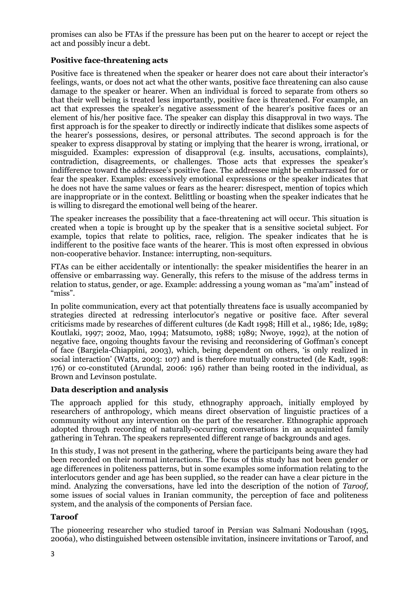promises can also be FTAs if the pressure has been put on the hearer to accept or reject the act and possibly incur a debt.

### **Positive face-threatening acts**

Positive face is threatened when the speaker or hearer does not care about their interactor's feelings, wants, or does not act what the other wants, positive face threatening can also cause damage to the speaker or hearer. When an individual is forced to separate from others so that their well being is treated less importantly, positive face is threatened. For example, an act that expresses the speaker's negative assessment of the hearer's positive faces or an element of his/her positive face. The speaker can display this disapproval in two ways. The first approach is for the speaker to directly or indirectly indicate that dislikes some aspects of the hearer's possessions, desires, or personal attributes. The second approach is for the speaker to express disapproval by stating or implying that the hearer is wrong, irrational, or misguided. Examples: expression of disapproval (e.g. insults, accusations, complaints), contradiction, disagreements, or challenges. Those acts that expresses the speaker's indifference toward the addressee's positive face. The addressee might be embarrassed for or fear the speaker. Examples: excessively emotional expressions or the speaker indicates that he does not have the same values or fears as the hearer: disrespect, mention of topics which are inappropriate or in the context. Belittling or boasting when the speaker indicates that he is willing to disregard the emotional well being of the hearer.

The speaker increases the possibility that a face-threatening act will occur. This situation is created when a topic is brought up by the speaker that is a sensitive societal subject. For example, topics that relate to politics, race, religion. The speaker indicates that he is indifferent to the positive face wants of the hearer. This is most often expressed in obvious non-cooperative behavior. Instance: interrupting, non-sequiturs.

FTAs can be either accidentally or intentionally: the speaker misidentifies the hearer in an offensive or embarrassing way. Generally, this refers to the misuse of the address terms in relation to status, gender, or age. Example: addressing a young woman as "ma'am" instead of "miss".

In polite communication, every act that potentially threatens face is usually accompanied by strategies directed at redressing interlocutor's negative or positive face. After several criticisms made by researches of different cultures (de Kadt 1998; Hill et al., 1986; Ide, 1989; Koutlaki, 1997; 2002, Mao, 1994; Matsumoto, 1988; 1989; Nwoye, 1992), at the notion of negative face, ongoing thoughts favour the revising and reconsidering of Goffman's concept of face (Bargiela-Chiappini, 2003), which, being dependent on others, 'is only realized in social interaction' (Watts, 2003: 107) and is therefore mutually constructed (de Kadt, 1998: 176) or co-constituted (Arundal, 2006: 196) rather than being rooted in the individual, as Brown and Levinson postulate.

#### **Data description and analysis**

The approach applied for this study, ethnography approach, initially employed by researchers of anthropology, which means direct observation of linguistic practices of a community without any intervention on the part of the researcher. Ethnographic approach adopted through recording of naturally-occurring conversations in an acquainted family gathering in Tehran. The speakers represented different range of backgrounds and ages.

In this study, I was not present in the gathering, where the participants being aware they had been recorded on their normal interactions. The focus of this study has not been gender or age differences in politeness patterns, but in some examples some information relating to the interlocutors gender and age has been supplied, so the reader can have a clear picture in the mind. Analyzing the conversations, have led into the description of the notion of *Taroof,*  some issues of social values in Iranian community, the perception of face and politeness system, and the analysis of the components of Persian face.

#### **Taroof**

The pioneering researcher who studied taroof in Persian was Salmani Nodoushan (1995, 2006a), who distinguished between ostensible invitation, insincere invitations or Taroof, and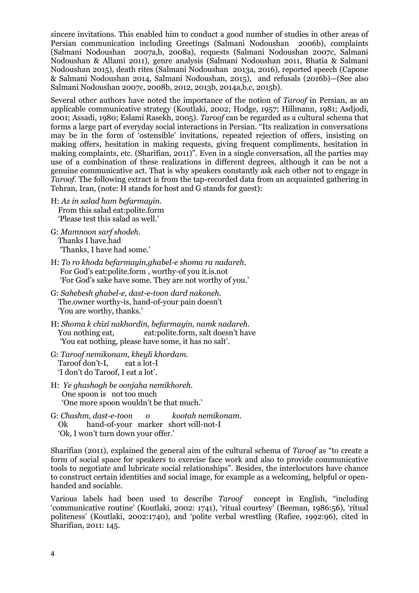sincere invitations. This enabled him to conduct a good number of studies in other areas of Persian communication including Greetings (Salmani Nodoushan 2006b), complaints (Salmani Nodoushan 2007a,b, 2008a), requests (Salmani Nodoushan 2007c, Salmani Nodoushan & Allami 2011), genre analysis (Salmani Nodoushan 2011, Bhatia & Salmani Nodoushan 2015), death rites (Salmani Nodoushan 2013a, 2016), reported speech (Capone & Salmani Nodoushan 2014, Salmani Nodoushan, 2015), and refusals (2016b)—(See also Salmani Nodoushan 2007c, 2008b, 2012, 2013b, 2014a,b,c, 2015b).

Several other authors have noted the importance of the notion of *Taroof* in Persian, as an applicable communicative strategy (Koutlaki, 2002; Hodge, 1957; Hillmann, 1981; Asdjodi, 2001; Assadi, 1980; Eslami Rasekh, 2005). *Taroof* can be regarded as a cultural schema that forms a large part of everyday social interactions in Persian. "Its realization in conversations may be in the form of 'ostensible' invitations, repeated rejection of offers, insisting on making offers, hesitation in making requests, giving frequent compliments, hesitation in making complaints, etc. (Sharifian, 2011)". Even in a single conversation, all the parties may use of a combination of these realizations in different degrees, although it can be not a genuine communicative act. That is why speakers constantly ask each other not to engage in *Taroof.* The following extract is from the tap-recorded data from an acquainted gathering in Tehran, Iran, (note: H stands for host and G stands for guest):

- H: *Az in salad ham befarmayin.* From this salad eat:polite.form 'Please test this salad as well.'
- G: *Mamnoon sarf shodeh.* Thanks I have.had 'Thanks, I have had some.'
- H: *To ro khoda befarmayin,ghabel-e shoma ra nadareh.* For God's eat:polite.form , worthy-of you it.is.not 'For God's sake have some. They are not worthy of you.'
- G: *Sahebesh ghabel-e, dast-e-toon dard nakoneh.* The.owner worthy-is, hand-of-your pain doesn't 'You are worthy, thanks.'
- H: *Shoma k chizi nakhordin, befarmayin, namk nadareh.* You nothing eat, eat:polite.form, salt doesn't have 'You eat nothing, please have some, it has no salt'.
- G: *Taroof nemikonam, kheyli khordam.* Taroof don't-I, eat a lot-I 'I don't do Taroof, I eat a lot'.
- H: *Ye ghashogh be oonjaha nemikhoreh.* One spoon is not too much 'One more spoon wouldn't be that much.'
- G: *Chashm, dast-e-toon o kootah nemikonam.* Ok hand-of-your markershort will-not-I 'Ok, I won't turn down your offer.'

Sharifian (2011), explained the general aim of the cultural schema of *Taroof* as "to create a form of social space for speakers to exercise face work and also to provide communicative tools to negotiate and lubricate social relationships". Besides, the interlocutors have chance to construct certain identities and social image, for example as a welcoming, helpful or openhanded and sociable.

Various labels had been used to describe *Taroof* concept in English, "including 'communicative routine' (Koutlaki, 2002: 1741), 'ritual courtesy' (Beeman, 1986:56), 'ritual politeness' (Koutlaki, 2002:1740), and 'polite verbal wrestling (Rafiee, 1992:96), cited in Sharifian, 2011: 145.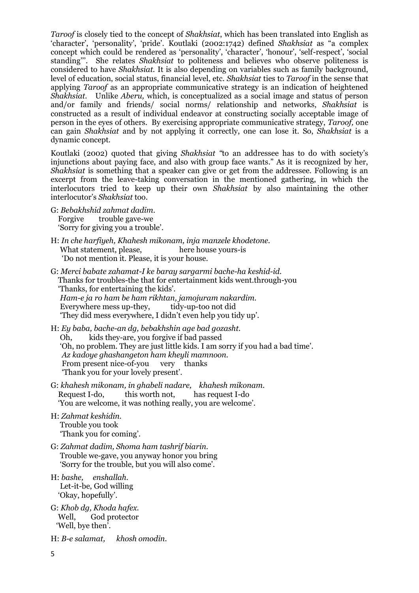*Taroof* is closely tied to the concept of *Shakhsiat*, which has been translated into English as 'character', 'personality', 'pride'. Koutlaki (2002:1742) defined *Shakhsiat* as "a complex concept which could be rendered as 'personality', 'character', 'honour', 'self-respect', 'social standing'''. She relates *Shakhsiat* to politeness and believes who observe politeness is considered to have *Shakhsiat.* It is also depending on variables such as family background, level of education, social status, financial level, etc. *Shakhsiat* ties to *Taroof* in the sense that applying *Taroof* as an appropriate communicative strategy is an indication of heightened *Shakhsiat.* Unlike *Aberu,* which, is conceptualized as a social image and status of person and/or family and friends/ social norms/ relationship and networks, *Shakhsiat* is constructed as a result of individual endeavor at constructing socially acceptable image of person in the eyes of others. By exercising appropriate communicative strategy, *Taroof,* one can gain *Shakhsiat* and by not applying it correctly, one can lose it. So, *Shakhsiat* is a dynamic concept.

Koutlaki (2002) quoted that giving *Shakhsiat "*to an addressee has to do with society's injunctions about paying face, and also with group face wants." As it is recognized by her, *Shakhsiat* is something that a speaker can give or get from the addressee. Following is an excerpt from the leave-taking conversation in the mentioned gathering, in which the interlocutors tried to keep up their own *Shakhsiat* by also maintaining the other interlocutor's *Shakhsiat* too.

- G: *Bebakhshid zahmat dadim.* Forgive trouble gave-we 'Sorry for giving you a trouble'.
- H: *In che harfiyeh, Khahesh mikonam, inja manzele khodetone.* What statement, please, here house yours-is 'Do not mention it. Please, it is your house.
- G: *Merci babate zahamat-I ke baray sargarmi bache-ha keshid-id.* Thanks for troubles-the that for entertainment kids went.through-you 'Thanks, for entertaining the kids'. *Ham-e ja ro ham be ham rikhtan, jamojuram nakardim.* Everywhere mess up-they, tidy-up-too not did 'They did mess everywhere, I didn't even help you tidy up'.
- H: *Ey baba, bache-an dg, bebakhshin age bad gozasht.*  Oh, kids they-are, you forgive if bad passed 'Oh, no problem. They are just little kids. I am sorry if you had a bad time'. *Az kadoye ghashangeton ham kheyli mamnoon.* From present nice-of-you very thanks 'Thank you for your lovely present'.
- G: *khahesh mikonam, in ghabeli nadare, khahesh mikonam.* Request I-do, this worth not, has request I-do 'You are welcome, it was nothing really, you are welcome'.
- H: *Zahmat keshidin.* Trouble you took 'Thank you for coming'.
- G: *Zahmat dadim, Shoma ham tashrif biarin.* Trouble we-gave, you anyway honor you bring 'Sorry for the trouble, but you will also come'.
- H: *bashe, enshallah.* Let-it-be, God willing 'Okay, hopefully'.
- G: *Khob dg, Khoda hafex.* Well, God protector 'Well, bye then'.
- H: *B-e salamat, khosh omodin.*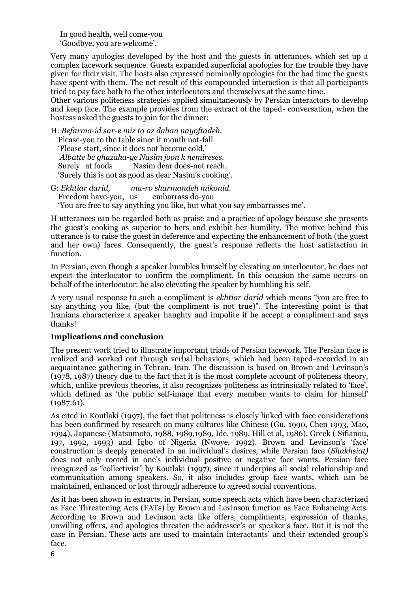In good health, well come-you 'Goodbye, you are welcome'.

Very many apologies developed by the host and the guests in utterances, which set up a complex facework sequence. Guests expanded superficial apologies for the trouble they have given for their visit. The hosts also expressed nominally apologies for the bad time the guests have spent with them. The net result of this compounded interaction is that all participants tried to pay face both to the other interlocutors and themselves at the same time.

Other various politeness strategies applied simultaneously by Persian interactors to develop and keep face. The example provides from the extract of the taped- conversation, when the hostess asked the guests to join for the dinner:

H: *Befarma-id sar-e miz ta az dahan nayoftadeh,* 

 Please-you to the table since it mouth not-fall 'Please start, since it does not become cold,' *Albatte be ghazaha-ye Nasim joon k nemireses.* **Surely** at foods Nasim dear does-not reach. 'Surely this is not as good as dear Nasim's cooking'.

G: *Ekhtiar darid, ma-ro sharmandeh mikonid.* Freedom have-you, us embarrass do-you 'You are free to say anything you like, but what you say embarrasses me'.

H utterances can be regarded both as praise and a practice of apology because she presents the guest's cooking as superior to hers and exhibit her humility. The motive behind this utterance is to raise the guest in deference and expecting the enhancement of both (the guest and her own) faces. Consequently, the guest's response reflects the host satisfaction in function.

In Persian, even though a speaker humbles himself by elevating an interlocutor, he does not expect the interlocutor to confirm the compliment. In this occasion the same occurs on behalf of the interlocutor: he also elevating the speaker by humbling his self.

A very usual response to such a compliment is *ekhtiar darid* which means "you are free to say anything you like, (but the compliment is not true)". The interesting point is that Iranians characterize a speaker haughty and impolite if he accept a compliment and says thanks!

### **Implications and conclusion**

The present work tried to illustrate important triads of Persian facework. The Persian face is realized and worked out through verbal behaviors, which had been taped-recorded in an acquaintance gathering in Tehran, Iran. The discussion is based on Brown and Levinson's (1978, 1987) theory due to the fact that it is the most complete account of politeness theory, which, unlike previous theories, it also recognizes politeness as intrinsically related to 'face'. which defined as 'the public self-image that every member wants to claim for himself' (1987:61).

As cited in Koutlaki (1997), the fact that politeness is closely linked with face considerations has been confirmed by research on many cultures like Chinese (Gu, 1990, Chen 1993, Mao, 1994), Japanese (Matsumoto, 1988, 1989,1989, Ide, 1989, Hill et al, 1986), Greek ( Sifianou, 197, 1992, 1993) and Igbo of Nigeria (Nwoye, 1992). Brown and Levinson's 'face' construction is deeply generated in an individual's desires, while Persian face (*Shakhsiat)*  does not only rooted in one's individual positive or negative face wants. Persian face recognized as "collectivist" by Koutlaki (1997), since it underpins all social relationship and communication among speakers. So, it also includes group face wants, which can be maintained, enhanced or lost through adherence to agreed social conventions.

As it has been shown in extracts, in Persian, some speech acts which have been characterized as Face Threatening Acts (FATs) by Brown and Levinson function as Face Enhancing Acts. According to Brown and Levinson acts like offers, compliments, expression of thanks, unwilling offers, and apologies threaten the addressee's or speaker's face. But it is not the case in Persian. These acts are used to maintain interactants' and their extended group's face.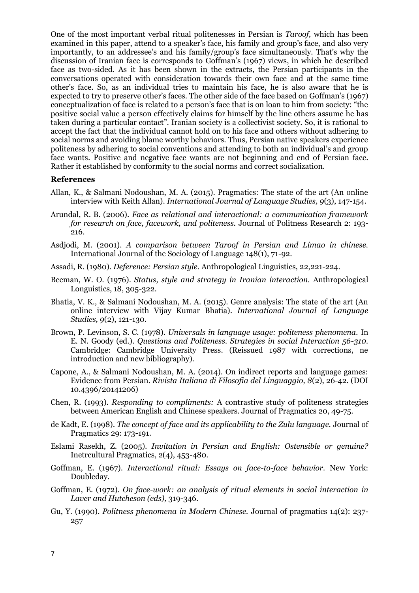One of the most important verbal ritual politenesses in Persian is *Taroof,* which has been examined in this paper, attend to a speaker's face, his family and group's face, and also very importantly, to an addressee's and his family/group's face simultaneously. That's why the discussion of Iranian face is corresponds to Goffman's (1967) views, in which he described face as two-sided. As it has been shown in the extracts, the Persian participants in the conversations operated with consideration towards their own face and at the same time other's face. So, as an individual tries to maintain his face, he is also aware that he is expected to try to preserve other's faces. The other side of the face based on Goffman's (1967) conceptualization of face is related to a person's face that is on loan to him from society: "the positive social value a person effectively claims for himself by the line others assume he has taken during a particular contact". Iranian society is a collectivist society. So, it is rational to accept the fact that the individual cannot hold on to his face and others without adhering to social norms and avoiding blame worthy behaviors. Thus, Persian native speakers experience politeness by adhering to social conventions and attending to both an individual's and group face wants. Positive and negative face wants are not beginning and end of Persian face. Rather it established by conformity to the social norms and correct socialization.

#### **References**

- Allan, K., & Salmani Nodoushan, M. A. (2015). Pragmatics: The state of the art (An online interview with Keith Allan). *International Journal of Language Studies, 9*(3), 147-154.
- Arundal, R. B. (2006). *Face as relational and interactional: a communication framework for research on face, facework, and politeness.* Journal of Politness Research 2: 193- 216.
- Asdjodi, M. (2001). *A comparison between Taroof in Persian and Limao in chinese.*  International Journal of the Sociology of Language 148(1), 71-92.
- Assadi, R. (1980). *Deference: Persian style.* Anthropological Linguistics, 22,221-224.
- Beeman, W. O. (1976). *Status, style and strategy in Iranian interaction.* Anthropological Longuistics, 18, 305-322.
- Bhatia, V. K., & Salmani Nodoushan, M. A. (2015). Genre analysis: The state of the art (An online interview with Vijay Kumar Bhatia). *International Journal of Language Studies, 9*(2), 121-130.
- Brown, P. Levinson, S. C. (1978). *Universals in language usage: politeness phenomena.* In E. N. Goody (ed.). *Questions and Politeness. Strategies in social Interaction 56-310.*  Cambridge: Cambridge University Press. (Reissued 1987 with corrections, ne introduction and new bibliography).
- Capone, A., & Salmani Nodoushan, M. A. (2014). On indirect reports and language games: Evidence from Persian. *Rivista Italiana di Filosofia del Linguaggio, 8*(2), 26-42. (DOI 10.4396/20141206)
- Chen, R. (1993). *Responding to compliments:* A contrastive study of politeness strategies between American English and Chinese speakers. Journal of Pragmatics 20, 49-75.
- de Kadt, E. (1998). *The concept of face and its applicability to the Zulu language.* Journal of Pragmatics 29: 173-191.
- Eslami Rasekh, Z. (2005). *Invitation in Persian and English: Ostensible or genuine?*  Inetrcultural Pragmatics, 2(4), 453-480.
- Goffman, E. (1967). *Interactional ritual: Essays on face-to-face behavior.* New York: Doubleday.
- Goffman, E. (1972). *On face-work: an analysis of ritual elements in social interaction in Laver and Hutcheson (eds),* 319-346.
- Gu, Y. (1990). *Politness phenomena in Modern Chinese.* Journal of pragmatics 14(2): 237- 257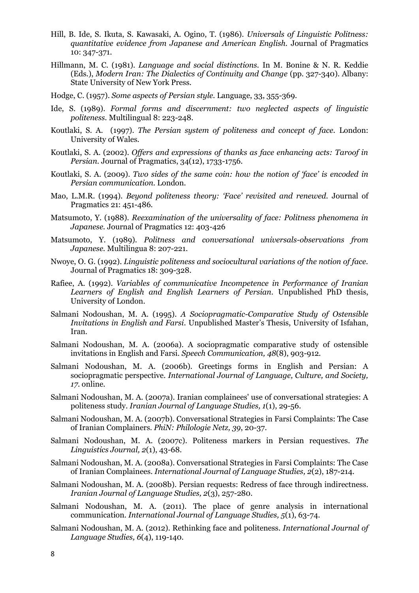- Hill, B. Ide, S. Ikuta, S. Kawasaki, A. Ogino, T. (1986). *Universals of Linguistic Politness: quantitative evidence from Japanese and American English.* Journal of Pragmatics 10: 347-371.
- Hillmann, M. C. (1981). *Language and social distinctions.* In M. Bonine & N. R. Keddie (Eds.), *Modern Iran: The Dialectics of Continuity and Change* (pp. 327-340). Albany: State University of New York Press.
- Hodge, C. (1957). *Some aspects of Persian style.* Language, 33, 355-369.
- Ide, S. (1989). *Formal forms and discernment: two neglected aspects of linguistic politeness.* Multilingual 8: 223-248.
- Koutlaki, S. A. (1997). *The Persian system of politeness and concept of face.* London: University of Wales.
- Koutlaki, S. A. (2002). *Offers and expressions of thanks as face enhancing acts: Taroof in Persian.* Journal of Pragmatics, 34(12), 1733-1756.
- Koutlaki, S. A. (2009). *Two sides of the same coin: how the notion of 'face' is encoded in Persian communication.* London.
- Mao, L.M.R. (1994). *Beyond politeness theory: 'Face' revisited and renewed.* Journal of Pragmatics 21: 451-486.
- Matsumoto, Y. (1988). *Reexamination of the universality of face: Politness phenomena in Japanese.* Journal of Pragmatics 12: 403-426
- Matsumoto, Y. (1989). *Politness and conversational universals-observations from Japanese.* Multilingua 8: 207-221.
- Nwoye, O. G. (1992). *Linguistic politeness and sociocultural variations of the notion of face.*  Journal of Pragmatics 18: 309-328.
- Rafiee, A. (1992). *Variables of communicative Incompetence in Performance of Iranian Learners of English and English Learners of Persian.* Unpublished PhD thesis, University of London.
- Salmani Nodoushan, M. A. (1995). *A Sociopragmatic-Comparative Study of Ostensible Invitations in English and Farsi*. Unpublished Master's Thesis, University of Isfahan, Iran.
- Salmani Nodoushan, M. A. (2006a). A sociopragmatic comparative study of ostensible invitations in English and Farsi. *Speech Communication, 48*(8), 903-912.
- Salmani Nodoushan, M. A. (2006b). Greetings forms in English and Persian: A sociopragmatic perspective. *International Journal of Language, Culture, and Society, 17*. online.
- Salmani Nodoushan, M. A. (2007a). Iranian complainees' use of conversational strategies: A politeness study. *Iranian Journal of Language Studies, 1*(1), 29-56.
- Salmani Nodoushan, M. A. (2007b). Conversational Strategies in Farsi Complaints: The Case of Iranian Complainers. *PhiN: Philologie Netz, 39*, 20-37.
- Salmani Nodoushan, M. A. (2007c). Politeness markers in Persian requestives. *The Linguistics Journal, 2*(1), 43-68.
- Salmani Nodoushan, M. A. (2008a). Conversational Strategies in Farsi Complaints: The Case of Iranian Complainees. *International Journal of Language Studies, 2*(2), 187-214.
- Salmani Nodoushan, M. A. (2008b). Persian requests: Redress of face through indirectness. *Iranian Journal of Language Studies, 2*(3), 257-280.
- Salmani Nodoushan, M. A. (2011). The place of genre analysis in international communication. *International Journal of Language Studies, 5*(1), 63-74.
- Salmani Nodoushan, M. A. (2012). Rethinking face and politeness. *International Journal of Language Studies, 6*(4), 119-140.